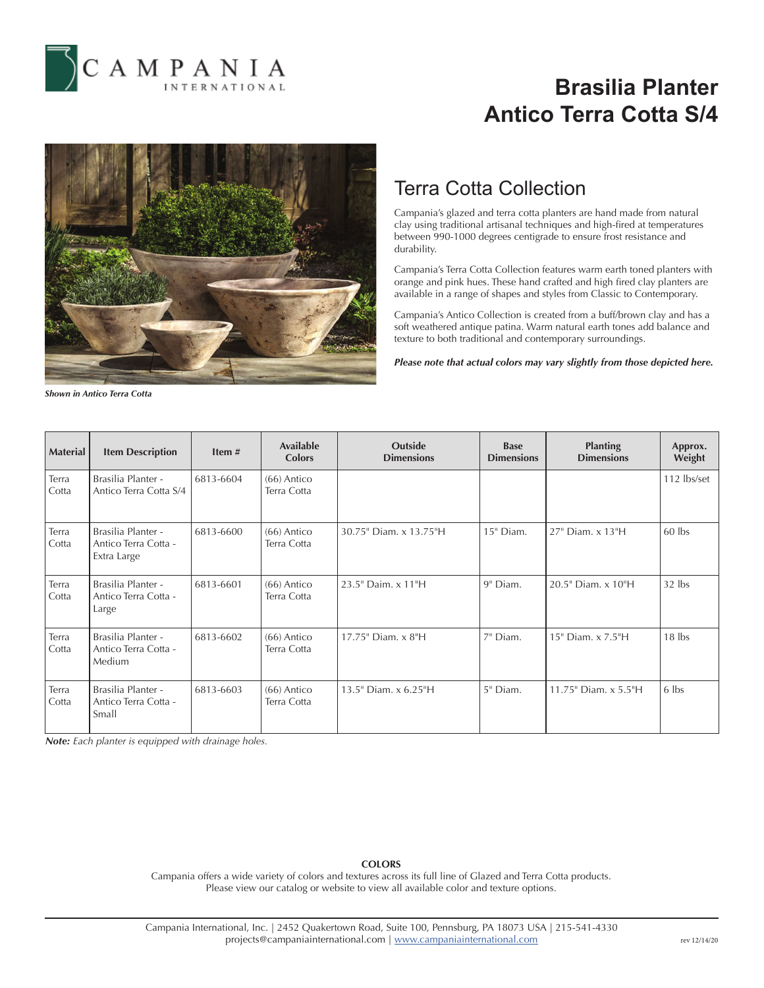

# **Brasilia Planter Antico Terra Cotta S/4**



## Terra Cotta Collection

Campania's glazed and terra cotta planters are hand made from natural clay using traditional artisanal techniques and high-fired at temperatures between 990-1000 degrees centigrade to ensure frost resistance and durability.

Campania's Terra Cotta Collection features warm earth toned planters with orange and pink hues. These hand crafted and high fired clay planters are available in a range of shapes and styles from Classic to Contemporary.

Campania's Antico Collection is created from a buff/brown clay and has a soft weathered antique patina. Warm natural earth tones add balance and texture to both traditional and contemporary surroundings.

*Please note that actual colors may vary slightly from those depicted here.*

*Shown in Antico Terra Cotta*

| <b>Material</b> | <b>Item Description</b>                                   | Item $#$  | <b>Available</b><br><b>Colors</b> | <b>Outside</b><br><b>Dimensions</b> | <b>Base</b><br><b>Dimensions</b> | <b>Planting</b><br><b>Dimensions</b> | Approx.<br>Weight |
|-----------------|-----------------------------------------------------------|-----------|-----------------------------------|-------------------------------------|----------------------------------|--------------------------------------|-------------------|
| Terra<br>Cotta  | Brasilia Planter -<br>Antico Terra Cotta S/4              | 6813-6604 | $(66)$ Antico<br>Terra Cotta      |                                     |                                  |                                      | 112 lbs/set       |
| Terra<br>Cotta  | Brasilia Planter -<br>Antico Terra Cotta -<br>Extra Large | 6813-6600 | $(66)$ Antico<br>Terra Cotta      | 30.75" Diam. x 13.75"H              | 15" Diam.                        | 27" Diam. x 13"H                     | $60$ lbs          |
| Terra<br>Cotta  | Brasilia Planter -<br>Antico Terra Cotta -<br>Large       | 6813-6601 | $(66)$ Antico<br>Terra Cotta      | 23.5" Daim. x 11"H                  | 9" Diam.                         | 20.5" Diam. x 10"H                   | $32$ lbs          |
| Terra<br>Cotta  | Brasilia Planter -<br>Antico Terra Cotta -<br>Medium      | 6813-6602 | $(66)$ Antico<br>Terra Cotta      | 17.75" Diam. x 8"H                  | 7" Diam.                         | 15" Diam. x 7.5"H                    | $18$ lbs          |
| Terra<br>Cotta  | Brasilia Planter -<br>Antico Terra Cotta -<br>Small       | 6813-6603 | $(66)$ Antico<br>Terra Cotta      | 13.5" Diam. x 6.25"H                | 5" Diam.                         | 11.75" Diam. x 5.5"H                 | 6 lbs             |

*Note: Each planter is equipped with drainage holes.*

### **COLORS**

Campania offers a wide variety of colors and textures across its full line of Glazed and Terra Cotta products. Please view our catalog or website to view all available color and texture options.